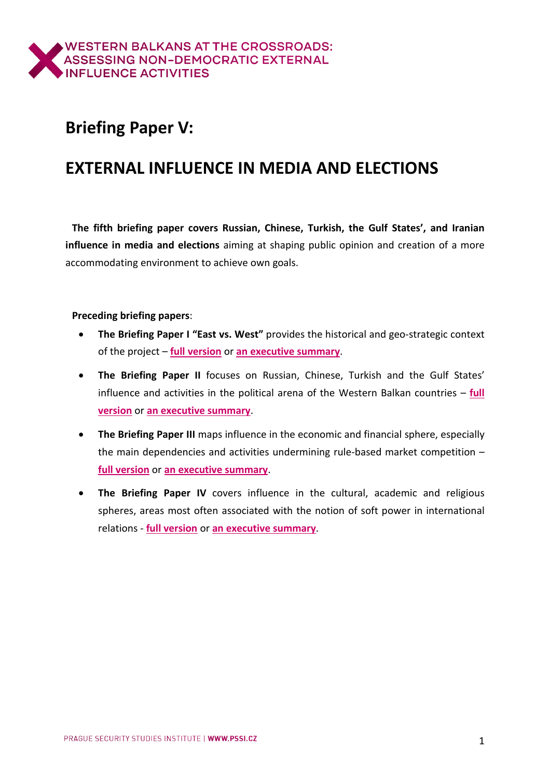## **Briefing Paper V:**

# **EXTERNAL INFLUENCE IN MEDIA AND ELECTIONS**

**The fifth briefing paper covers Russian, Chinese, Turkish, the Gulf States', and Iranian influence in media and elections** aiming at shaping public opinion and creation of a more accommodating environment to achieve own goals.

### **Preceding briefing papers**:

- **The Briefing Paper I "East vs. West"** provides the historical and geo-strategic context of the project – **full [version](https://www.balkancrossroads.com/bp-i-east-vs-west)** or **an [executive](https://www.balkancrossroads.com/copy-of-bp-i-east-vs-west) summary**.
- **The Briefing Paper II** focuses on Russian, Chinese, Turkish and the Gulf States' influence and activities in the political arena of the Western Balkan countries – **[full](https://www.balkancrossroads.com/bp-ii-politics) [version](https://www.balkancrossroads.com/bp-ii-politics)** or **an [executive](https://www.balkancrossroads.com/bp-ii-politics-short) summary**.
- **The Briefing Paper III** maps influence in the economic and financial sphere, especially the main dependencies and activities undermining rule-based market competition – **full [version](https://www.balkancrossroads.com/bp-iii-economics)** or **an [executive](https://www.balkancrossroads.com/bp-iii-economics-es) summary**.
- **The Briefing Paper IV** covers influence in the cultural, academic and religious spheres, areas most often associated with the notion of soft power in international relations - **full [version](https://www.balkancrossroads.com/bp-iv-culture-religion)** or **an [executive](https://www.balkancrossroads.com/bp-iv-culture-religion-es) summary**.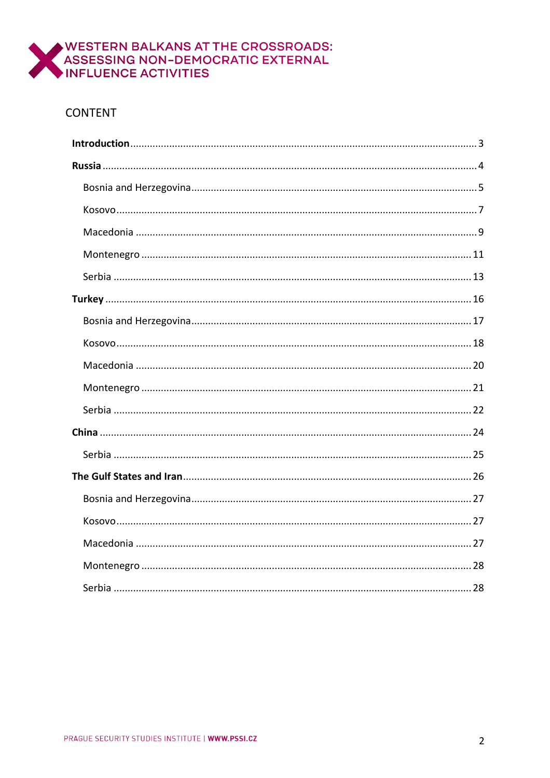

## **CONTENT**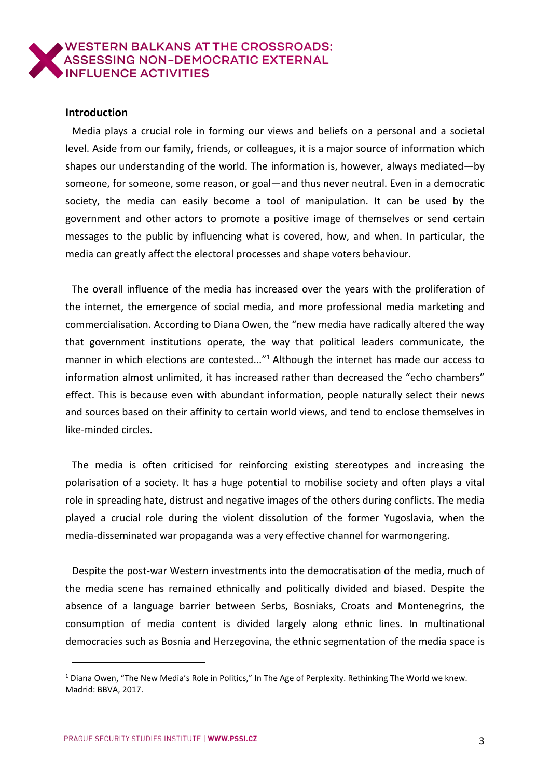#### <span id="page-2-0"></span>**Introduction**

Media plays a crucial role in forming our views and beliefs on a personal and a societal level. Aside from our family, friends, or colleagues, it is a major source of information which shapes our understanding of the world. The information is, however, always mediated—by someone, for someone, some reason, or goal—and thus never neutral. Even in a democratic society, the media can easily become a tool of manipulation. It can be used by the government and other actors to promote a positive image of themselves or send certain messages to the public by influencing what is covered, how, and when. In particular, the media can greatly affect the electoral processes and shape voters behaviour.

The overall influence of the media has increased over the years with the proliferation of the internet, the emergence of social media, and more professional media marketing and commercialisation. According to Diana Owen, the "new media have radically altered the way that government institutions operate, the way that political leaders communicate, the manner in which elections are contested..."<sup>1</sup> Although the internet has made our access to information almost unlimited, it has increased rather than decreased the "echo chambers" effect. This is because even with abundant information, people naturally select their news and sources based on their affinity to certain world views, and tend to enclose themselves in like-minded circles.

The media is often criticised for reinforcing existing stereotypes and increasing the polarisation of a society. It has a huge potential to mobilise society and often plays a vital role in spreading hate, distrust and negative images of the others during conflicts. The media played a crucial role during the violent dissolution of the former Yugoslavia, when the media-disseminated war propaganda was a very effective channel for warmongering.

Despite the post-war Western investments into the democratisation of the media, much of the media scene has remained ethnically and politically divided and biased. Despite the absence of a language barrier between Serbs, Bosniaks, Croats and Montenegrins, the consumption of media content is divided largely along ethnic lines. In multinational democracies such as Bosnia and Herzegovina, the ethnic segmentation of the media space is

<sup>1</sup> Diana Owen, "The New Media's Role in Politics," In The Age of Perplexity. Rethinking The World we knew. Madrid: BBVA, 2017.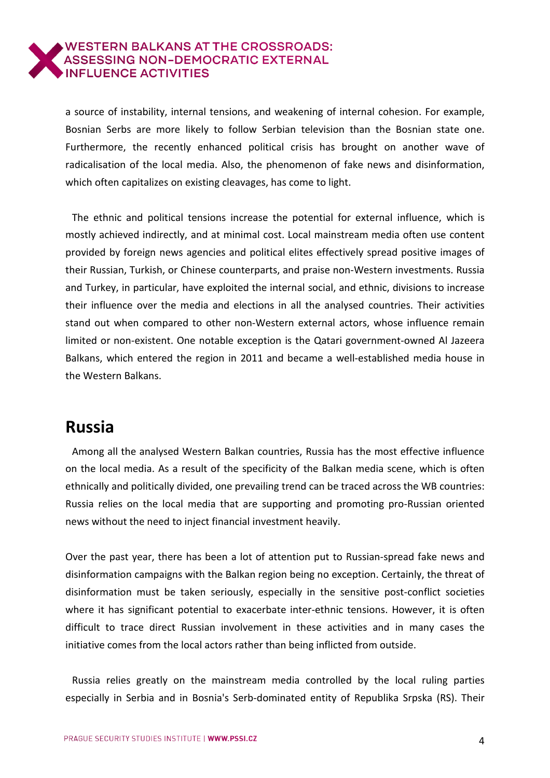a source of instability, internal tensions, and weakening of internal cohesion. For example, Bosnian Serbs are more likely to follow Serbian television than the Bosnian state one. Furthermore, the recently enhanced political crisis has brought on another wave of radicalisation of the local media. Also, the phenomenon of fake news and disinformation, which often capitalizes on existing cleavages, has come to light.

The ethnic and political tensions increase the potential for external influence, which is mostly achieved indirectly, and at minimal cost. Local mainstream media often use content provided by foreign news agencies and political elites effectively spread positive images of their Russian, Turkish, or Chinese counterparts, and praise non-Western investments. Russia and Turkey, in particular, have exploited the internal social, and ethnic, divisions to increase their influence over the media and elections in all the analysed countries. Their activities stand out when compared to other non-Western external actors, whose influence remain limited or non-existent. One notable exception is the Qatari government-owned Al Jazeera Balkans, which entered the region in 2011 and became a well-established media house in the Western Balkans.

## <span id="page-3-0"></span>**Russia**

Among all the analysed Western Balkan countries, Russia has the most effective influence on the local media. As a result of the specificity of the Balkan media scene, which is often ethnically and politically divided, one prevailing trend can be traced across the WB countries: Russia relies on the local media that are supporting and promoting pro-Russian oriented news without the need to inject financial investment heavily.

Over the past year, there has been a lot of attention put to Russian-spread fake news and disinformation campaigns with the Balkan region being no exception. Certainly, the threat of disinformation must be taken seriously, especially in the sensitive post-conflict societies where it has significant potential to exacerbate inter-ethnic tensions. However, it is often difficult to trace direct Russian involvement in these activities and in many cases the initiative comes from the local actors rather than being inflicted from outside.

Russia relies greatly on the mainstream media controlled by the local ruling parties especially in Serbia and in Bosnia's Serb-dominated entity of Republika Srpska (RS). Their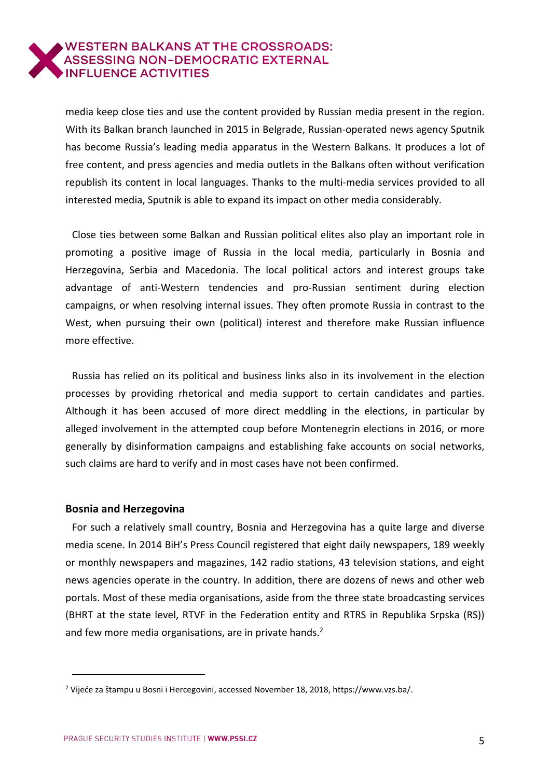media keep close ties and use the content provided by Russian media present in the region. With its Balkan branch launched in 2015 in Belgrade, Russian-operated news agency Sputnik has become Russia's leading media apparatus in the Western Balkans. It produces a lot of free content, and press agencies and media outlets in the Balkans often without verification republish its content in local languages. Thanks to the multi-media services provided to all interested media, Sputnik is able to expand its impact on other media considerably.

Close ties between some Balkan and Russian political elites also play an important role in promoting a positive image of Russia in the local media, particularly in Bosnia and Herzegovina, Serbia and Macedonia. The local political actors and interest groups take advantage of anti-Western tendencies and pro-Russian sentiment during election campaigns, or when resolving internal issues. They often promote Russia in contrast to the West, when pursuing their own (political) interest and therefore make Russian influence more effective.

Russia has relied on its political and business links also in its involvement in the election processes by providing rhetorical and media support to certain candidates and parties. Although it has been accused of more direct meddling in the elections, in particular by alleged involvement in the attempted coup before Montenegrin elections in 2016, or more generally by disinformation campaigns and establishing fake accounts on social networks, such claims are hard to verify and in most cases have not been confirmed.

#### <span id="page-4-0"></span>**Bosnia and Herzegovina**

 $\overline{a}$ 

For such a relatively small country, Bosnia and Herzegovina has a quite large and diverse media scene. In 2014 BiH's Press Council registered that eight daily newspapers, 189 weekly or monthly newspapers and magazines, 142 radio stations, 43 television stations, and eight news agencies operate in the country. In addition, there are dozens of news and other web portals. Most of these media organisations, aside from the three state broadcasting services (BHRT at the state level, RTVF in the Federation entity and RTRS in Republika Srpska (RS)) and few more media organisations, are in private hands.<sup>2</sup>

<sup>2</sup> Vijeće za štampu u Bosni i Hercegovini, accessed November 18, 2018, https://www.vzs.ba/.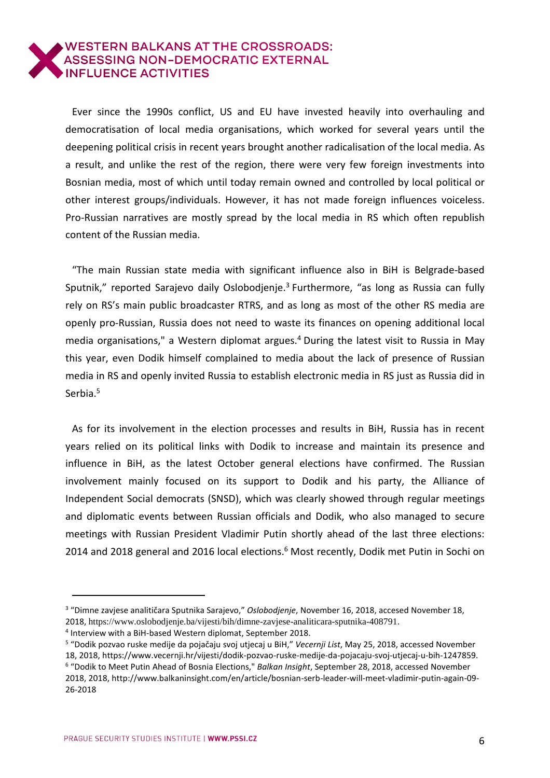Ever since the 1990s conflict, US and EU have invested heavily into overhauling and democratisation of local media organisations, which worked for several years until the deepening political crisis in recent years brought another radicalisation of the local media. As a result, and unlike the rest of the region, there were very few foreign investments into Bosnian media, most of which until today remain owned and controlled by local political or other interest groups/individuals. However, it has not made foreign influences voiceless. Pro-Russian narratives are mostly spread by the local media in RS which often republish content of the Russian media.

"The main Russian state media with significant influence also in BiH is Belgrade-based Sputnik," reported Sarajevo daily Oslobodjenje.<sup>3</sup> Furthermore, "as long as Russia can fully rely on RS's main public broadcaster RTRS, and as long as most of the other RS media are openly pro-Russian, Russia does not need to waste its finances on opening additional local media organisations," a Western diplomat argues.<sup>4</sup> During the latest visit to Russia in May this year, even Dodik himself complained to media about the lack of presence of Russian media in RS and openly invited Russia to establish electronic media in RS just as Russia did in Serbia.<sup>5</sup>

As for its involvement in the election processes and results in BiH, Russia has in recent years relied on its political links with Dodik to increase and maintain its presence and influence in BiH, as the latest October general elections have confirmed. The Russian involvement mainly focused on its support to Dodik and his party, the Alliance of Independent Social democrats (SNSD), which was clearly showed through regular meetings and diplomatic events between Russian officials and Dodik, who also managed to secure meetings with Russian President Vladimir Putin shortly ahead of the last three elections: 2014 and 2018 general and 2016 local elections.<sup>6</sup> Most recently, Dodik met Putin in Sochi on

<sup>3</sup> "Dimne zavjese analitičara Sputnika Sarajevo," *Oslobodjenje*, November 16, 2018, accesed November 18, 2018, https://www.oslobodjenje.ba/vijesti/bih/dimne-zavjese-analiticara-sputnika-408791.

<sup>4</sup> Interview with a BiH-based Western diplomat, September 2018.

<sup>5</sup> "Dodik pozvao ruske medije da pojačaju svoj utjecaj u BiH," *Vecernji List*, May 25, 2018, accessed November 18, 2018, https://www.vecernji.hr/vijesti/dodik-pozvao-ruske-medije-da-pojacaju-svoj-utjecaj-u-bih-1247859. 6 "Dodik to Meet Putin Ahead of Bosnia Elections," *Balkan Insight*, September 28, 2018, accessed November 2018, 2018, http://www.balkaninsight.com/en/article/bosnian-serb-leader-will-meet-vladimir-putin-again-09- 26-2018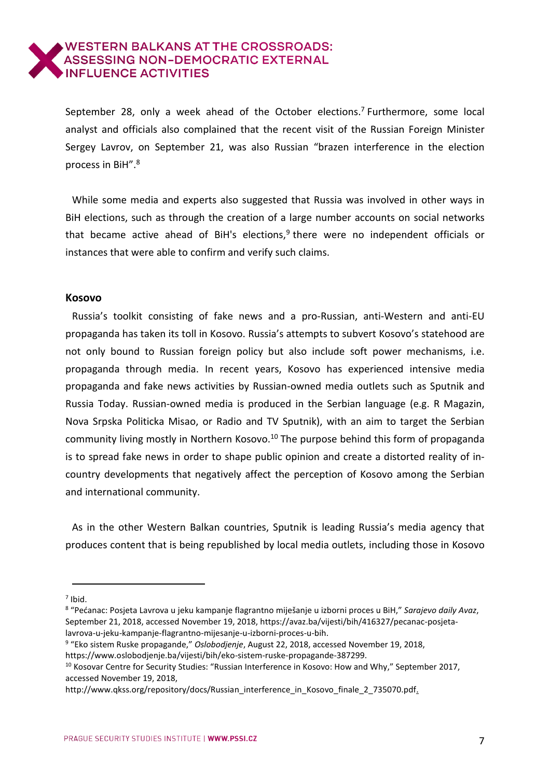September 28, only a week ahead of the October elections.<sup>7</sup> Furthermore, some local analyst and officials also complained that the recent visit of the Russian Foreign Minister Sergey Lavrov, on September 21, was also Russian "brazen interference in the election process in BiH".<sup>8</sup>

While some media and experts also suggested that Russia was involved in other ways in BiH elections, such as through the creation of a large number accounts on social networks that became active ahead of BiH's elections,<sup>9</sup> there were no independent officials or instances that were able to confirm and verify such claims.

#### <span id="page-6-0"></span>**Kosovo**

Russia's toolkit consisting of fake news and a pro-Russian, anti-Western and anti-EU propaganda has taken its toll in Kosovo. Russia's attempts to subvert Kosovo's statehood are not only bound to Russian foreign policy but also include soft power mechanisms, i.e. propaganda through media. In recent years, Kosovo has experienced intensive media propaganda and fake news activities by Russian-owned media outlets such as Sputnik and Russia Today. Russian-owned media is produced in the Serbian language (e.g. R Magazin, Nova Srpska Politicka Misao, or Radio and TV Sputnik), with an aim to target the Serbian community living mostly in Northern Kosovo.<sup>10</sup> The purpose behind this form of propaganda is to spread fake news in order to shape public opinion and create a distorted reality of incountry developments that negatively affect the perception of Kosovo among the Serbian and international community.

As in the other Western Balkan countries, Sputnik is leading Russia's media agency that produces content that is being republished by local media outlets, including those in Kosovo

9 "Eko sistem Ruske propagande," *Oslobodjenje*, August 22, 2018, accessed November 19, 2018,

j  $<sup>7</sup>$  Ibid.</sup>

<sup>8</sup> "Pećanac: Posjeta Lavrova u jeku kampanje flagrantno miješanje u izborni proces u BiH," *Sarajevo daily Avaz*, September 21, 2018, accessed November 19, 2018, https://avaz.ba/vijesti/bih/416327/pecanac-posjetalavrova-u-jeku-kampanje-flagrantno-mijesanje-u-izborni-proces-u-bih.

https://www.oslobodjenje.ba/vijesti/bih/eko-sistem-ruske-propagande-387299.

<sup>&</sup>lt;sup>10</sup> Kosovar Centre for Security Studies: "Russian Interference in Kosovo: How and Why," September 2017, accessed November 19, 2018,

http://www.qkss.org/repository/docs/Russian\_interference\_in\_Kosovo\_finale\_2\_735070.pdf.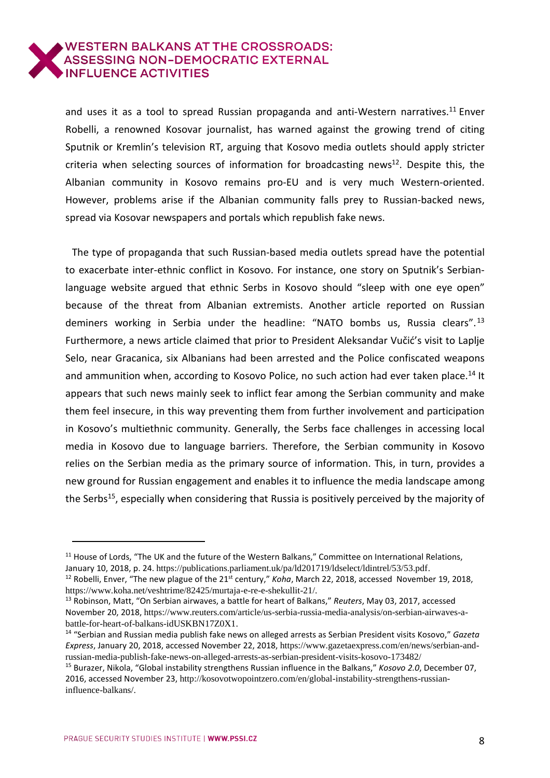and uses it as a tool to spread Russian propaganda and anti-Western narratives.<sup>11</sup> Enver Robelli, a renowned Kosovar journalist, has warned against the growing trend of citing Sputnik or Kremlin's television RT, arguing that Kosovo media outlets should apply stricter criteria when selecting sources of information for broadcasting news<sup>12</sup>. Despite this, the Albanian community in Kosovo remains pro-EU and is very much Western-oriented. However, problems arise if the Albanian community falls prey to Russian-backed news, spread via Kosovar newspapers and portals which republish fake news.

The type of propaganda that such Russian-based media outlets spread have the potential to exacerbate inter-ethnic conflict in Kosovo. For instance, one story on Sputnik's Serbianlanguage website argued that ethnic Serbs in Kosovo should "sleep with one eye open" because of the threat from Albanian extremists. Another article reported on Russian deminers working in Serbia under the headline: "NATO bombs us, Russia clears".<sup>13</sup> Furthermore, a news article claimed that prior to President Aleksandar Vučić's visit to Laplje Selo, near Gracanica, six Albanians had been arrested and the Police confiscated weapons and ammunition when, according to Kosovo Police, no such action had ever taken place.<sup>14</sup> It appears that such news mainly seek to inflict fear among the Serbian community and make them feel insecure, in this way preventing them from further involvement and participation in Kosovo's multiethnic community. Generally, the Serbs face challenges in accessing local media in Kosovo due to language barriers. Therefore, the Serbian community in Kosovo relies on the Serbian media as the primary source of information. This, in turn, provides a new ground for Russian engagement and enables it to influence the media landscape among the Serbs<sup>15</sup>, especially when considering that Russia is positively perceived by the majority of

<sup>13</sup> Robinson, Matt, "On Serbian airwaves, a battle for heart of Balkans," *Reuters*, May 03, 2017, accessed November 20, 2018, [https://www.reuters.com/article/us-serbia-russia-media-analysis/on-serbian-airwaves-a](https://www.reuters.com/article/us-serbia-russia-media-analysis/on-serbian-airwaves-a-battle-for-heart-of-balkans-idUSKBN17Z0X1)[battle-for-heart-of-balkans-idUSKBN17Z0X1.](https://www.reuters.com/article/us-serbia-russia-media-analysis/on-serbian-airwaves-a-battle-for-heart-of-balkans-idUSKBN17Z0X1)

 $\overline{a}$ 

<sup>&</sup>lt;sup>11</sup> House of Lords, "The UK and the future of the Western Balkans," Committee on International Relations, January 10, 2018, p. 24. https://publications.parliament.uk/pa/ld201719/ldselect/ldintrel/53/53.pdf.

<sup>&</sup>lt;sup>12</sup> Robelli, Enver, "The new plague of the 21<sup>st</sup> century," *Koha*, March 22, 2018, accessed November 19, 2018, https://www.koha.net/veshtrime/82425/murtaja-e-re-e-shekullit-21/.

<sup>14</sup> "Serbian and Russian media publish fake news on alleged arrests as Serbian President visits Kosovo," *Gazeta Express*, January 20, 2018, accessed November 22, 2018, [https://www.gazetaexpress.com/en/news/serbian-and](https://www.gazetaexpress.com/en/news/serbian-and-russian-media-publish-fake-news-on-alleged-arrests-as-serbian-president-visits-kosovo-173482/)[russian-media-publish-fake-news-on-alleged-arrests-as-serbian-president-visits-kosovo-173482/](https://www.gazetaexpress.com/en/news/serbian-and-russian-media-publish-fake-news-on-alleged-arrests-as-serbian-president-visits-kosovo-173482/)

<sup>15</sup> Burazer, Nikola, "Global instability strengthens Russian influence in the Balkans," *Kosovo 2.0*, December 07, 2016, accessed November 23, [http://kosovotwopointzero.com/en/global-instability-strengthens-russian](http://kosovotwopointzero.com/en/global-instability-strengthens-russian-influence-balkans/)[influence-balkans/.](http://kosovotwopointzero.com/en/global-instability-strengthens-russian-influence-balkans/)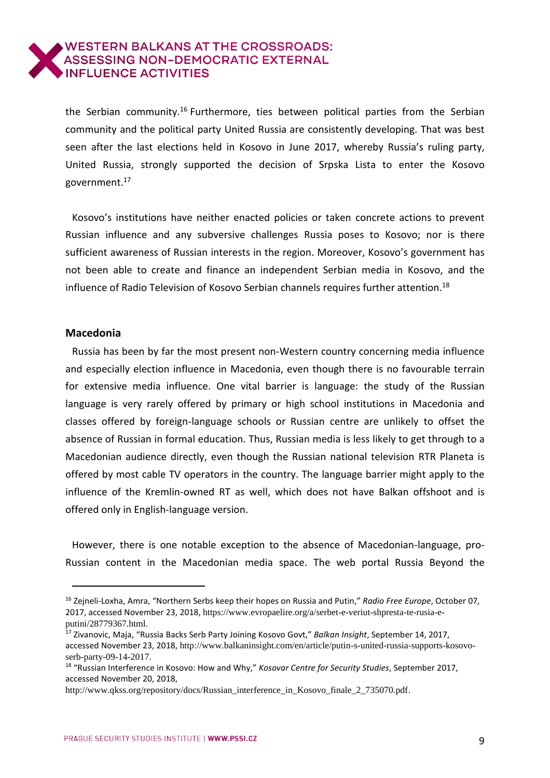the Serbian community.<sup>16</sup> Furthermore, ties between political parties from the Serbian community and the political party United Russia are consistently developing. That was best seen after the last elections held in Kosovo in June 2017, whereby Russia's ruling party, United Russia, strongly supported the decision of Srpska Lista to enter the Kosovo government.<sup>17</sup>

Kosovo's institutions have neither enacted policies or taken concrete actions to prevent Russian influence and any subversive challenges Russia poses to Kosovo; nor is there sufficient awareness of Russian interests in the region. Moreover, Kosovo's government has not been able to create and finance an independent Serbian media in Kosovo, and the influence of Radio Television of Kosovo Serbian channels requires further attention.<sup>18</sup>

#### <span id="page-8-0"></span>**Macedonia**

j

Russia has been by far the most present non-Western country concerning media influence and especially election influence in Macedonia, even though there is no favourable terrain for extensive media influence. One vital barrier is language: the study of the Russian language is very rarely offered by primary or high school institutions in Macedonia and classes offered by foreign-language schools or Russian centre are unlikely to offset the absence of Russian in formal education. Thus, Russian media is less likely to get through to a Macedonian audience directly, even though the Russian national television RTR Planeta is offered by most cable TV operators in the country. The language barrier might apply to the influence of the Kremlin-owned RT as well, which does not have Balkan offshoot and is offered only in English-language version.

However, there is one notable exception to the absence of Macedonian-language, pro-Russian content in the Macedonian media space. The web portal Russia Beyond the

<sup>16</sup> Zejneli-Loxha, Amra, "Northern Serbs keep their hopes on Russia and Putin," *Radio Free Europe*, October 07, 2017, accessed November 23, 2018, [https://www.evropaelire.org/a/serbet-e-veriut-shpresta-te-rusia-e](https://www.evropaelire.org/a/serbet-e-veriut-shpresta-te-rusia-e-putini/28779367.html)[putini/28779367.html.](https://www.evropaelire.org/a/serbet-e-veriut-shpresta-te-rusia-e-putini/28779367.html)

<sup>17</sup> Zivanovic, Maja, "Russia Backs Serb Party Joining Kosovo Govt," *Balkan Insight*, September 14, 2017, accessed November 23, 2018, [http://www.balkaninsight.com/en/article/putin-s-united-russia-supports-kosovo](http://www.balkaninsight.com/en/article/putin-s-united-russia-supports-kosovo-serb-party-09-14-2017)[serb-party-09-14-2017.](http://www.balkaninsight.com/en/article/putin-s-united-russia-supports-kosovo-serb-party-09-14-2017)

<sup>18</sup> "Russian Interference in Kosovo: How and Why," *Kosovar Centre for Security Studies*, September 2017, accessed November 20, 2018,

[http://www.qkss.org/repository/docs/Russian\\_interference\\_in\\_Kosovo\\_finale\\_2\\_735070.pdf.](http://www.qkss.org/repository/docs/Russian_interference_in_Kosovo_finale_2_735070.pdf)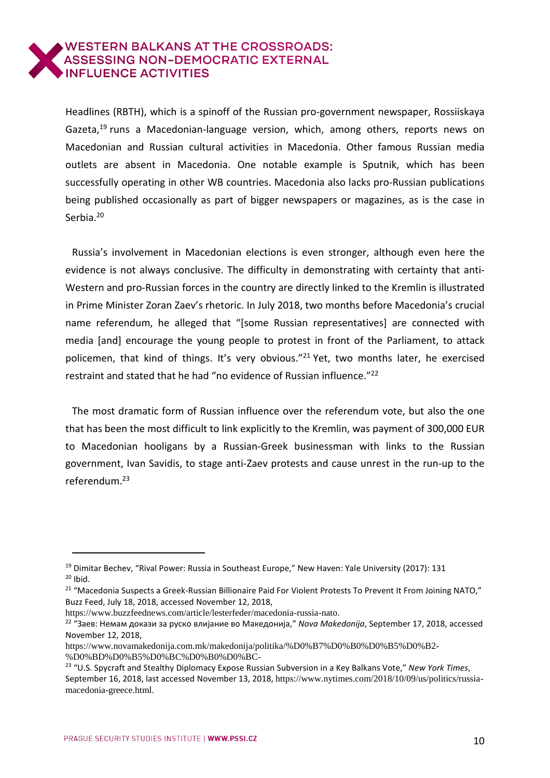Headlines (RBTH), which is a spinoff of the Russian pro-government newspaper, Rossiiskaya Gazeta,<sup>19</sup> runs a Macedonian-language version, which, among others, reports news on Macedonian and Russian cultural activities in Macedonia. Other famous Russian media outlets are absent in Macedonia. One notable example is Sputnik, which has been successfully operating in other WB countries. Macedonia also lacks pro-Russian publications being published occasionally as part of bigger newspapers or magazines, as is the case in Serbia.<sup>20</sup>

Russia's involvement in Macedonian elections is even stronger, although even here the evidence is not always conclusive. The difficulty in demonstrating with certainty that anti-Western and pro-Russian forces in the country are directly linked to the Kremlin is illustrated in Prime Minister Zoran Zaev's rhetoric. In July 2018, two months before Macedonia's crucial name referendum, he alleged that "[some Russian representatives] are connected with media [and] encourage the young people to protest in front of the Parliament, to attack policemen, that kind of things. It's very obvious."<sup>21</sup> Yet, two months later, he exercised restraint and stated that he had "no evidence of Russian influence." 22

The most dramatic form of Russian influence over the referendum vote, but also the one that has been the most difficult to link explicitly to the Kremlin, was payment of 300,000 EUR to Macedonian hooligans by a Russian-Greek businessman with links to the Russian government, Ivan Savidis, to stage anti-Zaev protests and cause unrest in the run-up to the referendum.<sup>23</sup>

<sup>&</sup>lt;sup>19</sup> Dimitar Bechev, "Rival Power: Russia in Southeast Europe," New Haven: Yale University (2017): 131  $20$  Ibid.

<sup>&</sup>lt;sup>21</sup> "Macedonia Suspects a Greek-Russian Billionaire Paid For Violent Protests To Prevent It From Joining NATO," Buzz Feed, July 18, 2018, accessed November 12, 2018,

[https://www.buzzfeednews.com/article/lesterfeder/macedonia-russia-nato.](https://www.buzzfeednews.com/article/lesterfeder/macedonia-russia-nato)

<sup>22</sup> "Заев: Немам докази за руско влијание во Македонија," *Nova Makedonija*, September 17, 2018, accessed November 12, 2018,

[https://www.novamakedonija.com.mk/makedonija/politika/%D0%B7%D0%B0%D0%B5%D0%B2-](https://www.novamakedonija.com.mk/makedonija/politika/%25D0%25B7%25D0%25B0%25D0%25B5%25D0%25B2-%25D0%25BD%25D0%25B5%25D0%25BC%25D0%25B0%25D0%25BC-%25D0%25B4%25D0%25BE%25D0%25BA%25D0%25B0%25D0%25B7%25D0%25B8-%25D0%25B7%25D0%25B0-%25D1%2580%25D1%2583%25D1%2581%25D0%25BA%25D0%25BE-%25D0%25B2%25D0%25BB%25D0%25B8%25D1%2598%25D0%25B0%25D0%25BD%25D0%25B8%25D0%25B5-%25D0%25B2%25D0%25BE/) [%D0%BD%D0%B5%D0%BC%D0%B0%D0%BC-](https://www.novamakedonija.com.mk/makedonija/politika/%25D0%25B7%25D0%25B0%25D0%25B5%25D0%25B2-%25D0%25BD%25D0%25B5%25D0%25BC%25D0%25B0%25D0%25BC-%25D0%25B4%25D0%25BE%25D0%25BA%25D0%25B0%25D0%25B7%25D0%25B8-%25D0%25B7%25D0%25B0-%25D1%2580%25D1%2583%25D1%2581%25D0%25BA%25D0%25BE-%25D0%25B2%25D0%25BB%25D0%25B8%25D1%2598%25D0%25B0%25D0%25BD%25D0%25B8%25D0%25B5-%25D0%25B2%25D0%25BE/)

<sup>23</sup> "U.S. Spycraft and Stealthy Diplomacy Expose Russian Subversion in a Key Balkans Vote," *New York Times*, September 16, 2018, last accessed November 13, 2018, [https://www.nytimes.com/2018/10/09/us/politics/russia](https://www.nytimes.com/2018/10/09/us/politics/russia-macedonia-greece.html)[macedonia-greece.html.](https://www.nytimes.com/2018/10/09/us/politics/russia-macedonia-greece.html)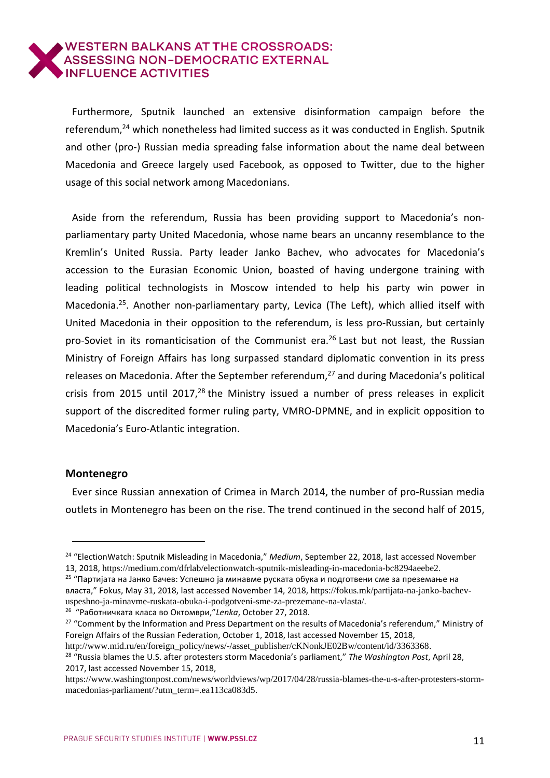Furthermore, Sputnik launched an extensive disinformation campaign before the referendum,<sup>24</sup> which nonetheless had limited success as it was conducted in English. Sputnik and other (pro-) Russian media spreading false information about the name deal between Macedonia and Greece largely used Facebook, as opposed to Twitter, due to the higher usage of this social network among Macedonians.

Aside from the referendum, Russia has been providing support to Macedonia's nonparliamentary party United Macedonia, whose name bears an uncanny resemblance to the Kremlin's United Russia. Party leader Janko Bachev, who advocates for Macedonia's accession to the Eurasian Economic Union, boasted of having undergone training with leading political technologists in Moscow intended to help his party win power in Macedonia.<sup>25</sup>. Another non-parliamentary party, Levica (The Left), which allied itself with United Macedonia in their opposition to the referendum, is less pro-Russian, but certainly pro-Soviet in its romanticisation of the Communist era. <sup>26</sup> Last but not least, the Russian Ministry of Foreign Affairs has long surpassed standard diplomatic convention in its press releases on Macedonia. After the September referendum, <sup>27</sup> and during Macedonia's political crisis from 2015 until 2017,<sup>28</sup> the Ministry issued a number of press releases in explicit support of the discredited former ruling party, VMRO-DPMNE, and in explicit opposition to Macedonia's Euro-Atlantic integration.

### <span id="page-10-0"></span>**Montenegro**

 $\overline{a}$ 

Ever since Russian annexation of Crimea in March 2014, the number of pro-Russian media outlets in Montenegro has been on the rise. The trend continued in the second half of 2015,

26 "Работничката класа во Октомври,"*Lenka*, October 27, 2018.

[http://www.mid.ru/en/foreign\\_policy/news/-/asset\\_publisher/cKNonkJE02Bw/content/id/3363368.](http://www.mid.ru/en/foreign_policy/news/-/asset_publisher/cKNonkJE02Bw/content/id/3363368)

<sup>24</sup> "ElectionWatch: Sputnik Misleading in Macedonia," *Medium*, September 22, 2018, last accessed November 13, 2018, https://medium.com/dfrlab/electionwatch-sputnik-misleading-in-macedonia-bc8294aeebe2.

<sup>&</sup>lt;sup>25</sup> "Партијата на Јанко Бачев: Успешно ја минавме руската обука и подготвени сме за преземање на власта," Fokus, May 31, 2018, last accessed November 14, 2018, https://fokus.mk/partijata-na-janko-bachevuspeshno-ja-minavme-ruskata-obuka-i-podgotveni-sme-za-prezemane-na-vlasta/.

<sup>&</sup>lt;sup>27</sup> "Comment by the Information and Press Department on the results of Macedonia's referendum," Ministry of Foreign Affairs of the Russian Federation, October 1, 2018, last accessed November 15, 2018,

<sup>28</sup> "Russia blames the U.S. after protesters storm Macedonia's parliament," *The Washington Post*, April 28, 2017, last accessed November 15, 2018,

https://www.washingtonpost.com/news/worldviews/wp/2017/04/28/russia-blames-the-u-s-after-protesters-stormmacedonias-parliament/?utm\_term=.ea113ca083d5.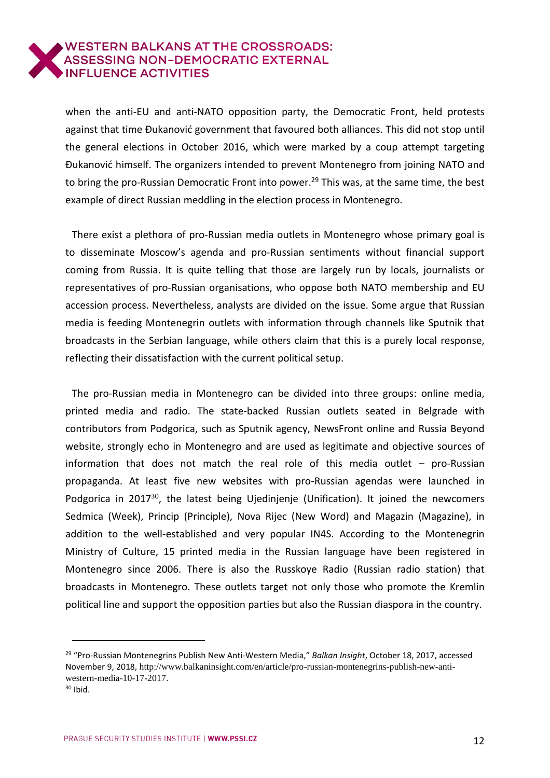when the anti-EU and anti-NATO opposition party, the Democratic Front, held protests against that time Đukanović government that favoured both alliances. This did not stop until the general elections in October 2016, which were marked by a coup attempt targeting Đukanović himself. The organizers intended to prevent Montenegro from joining NATO and to bring the pro-Russian Democratic Front into power.<sup>29</sup> This was, at the same time, the best example of direct Russian meddling in the election process in Montenegro.

There exist a plethora of pro-Russian media outlets in Montenegro whose primary goal is to disseminate Moscow's agenda and pro-Russian sentiments without financial support coming from Russia. It is quite telling that those are largely run by locals, journalists or representatives of pro-Russian organisations, who oppose both NATO membership and EU accession process. Nevertheless, analysts are divided on the issue. Some argue that Russian media is feeding Montenegrin outlets with information through channels like Sputnik that broadcasts in the Serbian language, while others claim that this is a purely local response, reflecting their dissatisfaction with the current political setup.

The pro-Russian media in Montenegro can be divided into three groups: online media, printed media and radio. The state-backed Russian outlets seated in Belgrade with contributors from Podgorica, such as Sputnik agency, NewsFront online and Russia Beyond website, strongly echo in Montenegro and are used as legitimate and objective sources of information that does not match the real role of this media outlet – pro-Russian propaganda. At least five new websites with pro-Russian agendas were launched in Podgorica in 2017<sup>30</sup>, the latest being Ujedinjenje (Unification). It joined the newcomers Sedmica (Week), Princip (Principle), Nova Rijec (New Word) and Magazin (Magazine), in addition to the well-established and very popular IN4S. According to the Montenegrin Ministry of Culture, 15 printed media in the Russian language have been registered in Montenegro since 2006. There is also the Russkoye Radio (Russian radio station) that broadcasts in Montenegro. These outlets target not only those who promote the Kremlin political line and support the opposition parties but also the Russian diaspora in the country.

<sup>29</sup> "Pro-Russian Montenegrins Publish New Anti-Western Media," *Balkan Insight*, October 18, 2017, accessed November 9, 2018, [http://www.balkaninsight.com/en/article/pro-russian-montenegrins-publish-new-anti](http://www.balkaninsight.com/en/article/pro-russian-montenegrins-publish-new-anti-western-media-10-17-2017)[western-media-10-17-2017](http://www.balkaninsight.com/en/article/pro-russian-montenegrins-publish-new-anti-western-media-10-17-2017).

 $30$  Ibid.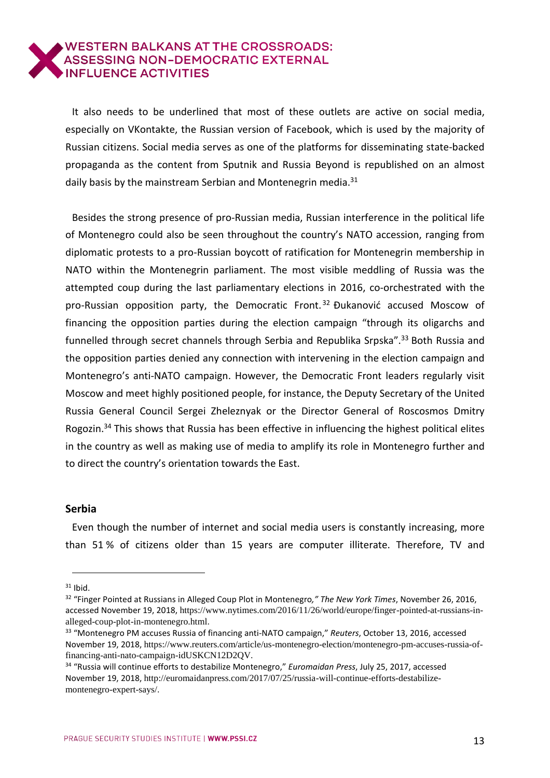It also needs to be underlined that most of these outlets are active on social media, especially on VKontakte, the Russian version of Facebook, which is used by the majority of Russian citizens. Social media serves as one of the platforms for disseminating state-backed propaganda as the content from Sputnik and Russia Beyond is republished on an almost daily basis by the mainstream Serbian and Montenegrin media. $31$ 

Besides the strong presence of pro-Russian media, Russian interference in the political life of Montenegro could also be seen throughout the country's NATO accession, ranging from diplomatic protests to a pro-Russian boycott of ratification for Montenegrin membership in NATO within the Montenegrin parliament. The most visible meddling of Russia was the attempted coup during the last parliamentary elections in 2016, co-orchestrated with the pro-Russian opposition party, the Democratic Front.<sup>32</sup> Đukanović accused Moscow of financing the opposition parties during the election campaign "through its oligarchs and funnelled through secret channels through Serbia and Republika Srpska".<sup>33</sup> Both Russia and the opposition parties denied any connection with intervening in the election campaign and Montenegro's anti-NATO campaign. However, the Democratic Front leaders regularly visit Moscow and meet highly positioned people, for instance, the Deputy Secretary of the United Russia General Council Sergei Zheleznyak or the Director General of Roscosmos Dmitry Rogozin.<sup>34</sup> This shows that Russia has been effective in influencing the highest political elites in the country as well as making use of media to amplify its role in Montenegro further and to direct the country's orientation towards the East.

#### <span id="page-12-0"></span>**Serbia**

Even though the number of internet and social media users is constantly increasing, more than 51 % of citizens older than 15 years are computer illiterate. Therefore, TV and

j  $31$  Ibid.

<sup>32</sup> "Finger Pointed at Russians in Alleged Coup Plot in Montenegro*," The New York Times*, November 26, 2016, accessed November 19, 2018, [https://www.nytimes.com/2016/11/26/world/europe/finger-pointed-at-russians-in](https://www.nytimes.com/2016/11/26/world/europe/finger-pointed-at-russians-in-alleged-coup-plot-in-montenegro.html)[alleged-coup-plot-in-montenegro.html](https://www.nytimes.com/2016/11/26/world/europe/finger-pointed-at-russians-in-alleged-coup-plot-in-montenegro.html).

<sup>33</sup> "Montenegro PM accuses Russia of financing anti-NATO campaign," *Reuters*, October 13, 2016, accessed November 19, 2018, [https://www.reuters.com/article/us-montenegro-election/montenegro-pm-accuses-russia-of](https://www.reuters.com/article/us-montenegro-election/montenegro-pm-accuses-russia-of-financing-anti-nato-campaign-idUSKCN12D2QV)[financing-anti-nato-campaign-idUSKCN12D2QV](https://www.reuters.com/article/us-montenegro-election/montenegro-pm-accuses-russia-of-financing-anti-nato-campaign-idUSKCN12D2QV).

<sup>34</sup> "Russia will continue efforts to destabilize Montenegro," *Euromaidan Press*, July 25, 2017, accessed November 19, 2018, [http://euromaidanpress.com/2017/07/25/russia-will-continue-efforts-destabilize](http://euromaidanpress.com/2017/07/25/russia-will-continue-efforts-destabilize-montenegro-expert-says/)[montenegro-expert-says/](http://euromaidanpress.com/2017/07/25/russia-will-continue-efforts-destabilize-montenegro-expert-says/).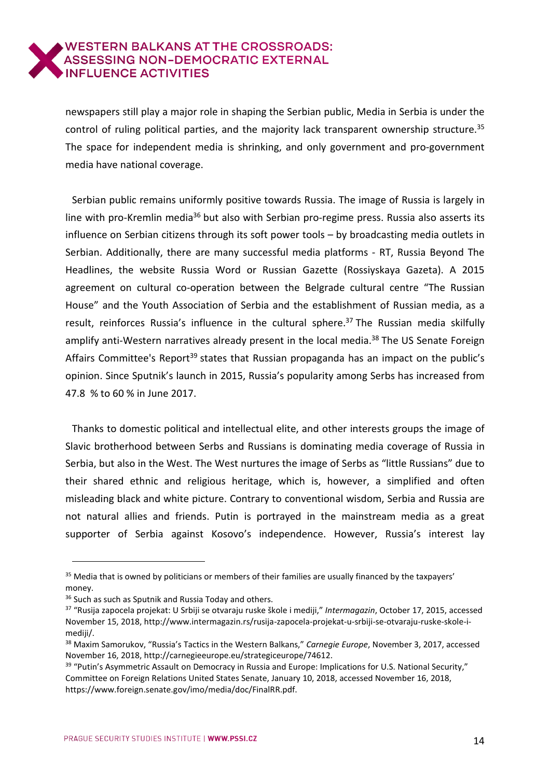newspapers still play a major role in shaping the Serbian public, Media in Serbia is under the control of ruling political parties, and the majority lack transparent ownership structure.<sup>35</sup> The space for independent media is shrinking, and only government and pro-government media have national coverage.

Serbian public remains uniformly positive towards Russia. The image of Russia is largely in line with pro-Kremlin media<sup>36</sup> but also with Serbian pro-regime press. Russia also asserts its influence on Serbian citizens through its soft power tools – by broadcasting media outlets in Serbian. Additionally, there are many successful media platforms - RT, Russia Beyond The Headlines, the website Russia Word or Russian Gazette (Rossiyskaya Gazeta). A 2015 agreement on cultural co-operation between the Belgrade cultural centre "The Russian House" and the Youth Association of Serbia and the establishment of Russian media, as a result, reinforces Russia's influence in the cultural sphere.<sup>37</sup> The Russian media skilfully amplify anti-Western narratives already present in the local media.<sup>38</sup> The US Senate Foreign Affairs Committee's Report<sup>39</sup> states that Russian propaganda has an impact on the public's opinion. Since Sputnik's launch in 2015, Russia's popularity among Serbs has increased from 47.8 % to 60 % in June 2017.

Thanks to domestic political and intellectual elite, and other interests groups the image of Slavic brotherhood between Serbs and Russians is dominating media coverage of Russia in Serbia, but also in the West. The West nurtures the image of Serbs as "little Russians" due to their shared ethnic and religious heritage, which is, however, a simplified and often misleading black and white picture. Contrary to conventional wisdom, Serbia and Russia are not natural allies and friends. Putin is portrayed in the mainstream media as a great supporter of Serbia against Kosovo's independence. However, Russia's interest lay

<sup>&</sup>lt;sup>35</sup> Media that is owned by politicians or members of their families are usually financed by the taxpayers' money.

<sup>&</sup>lt;sup>36</sup> Such as such as Sputnik and Russia Today and others.

<sup>37</sup> "Rusija zapocela projekat: U Srbiji se otvaraju ruske škole i mediji," *Intermagazin*, October 17, 2015, accessed November 15, 2018, http://www.intermagazin.rs/rusija-zapocela-projekat-u-srbiji-se-otvaraju-ruske-skole-imediji/.

<sup>38</sup> Maxim Samorukov, "Russia's Tactics in the Western Balkans," *Carnegie Europe*, November 3, 2017, accessed November 16, 2018, http://carnegieeurope.eu/strategiceurope/74612.

<sup>&</sup>lt;sup>39</sup> "Putin's Asymmetric Assault on Democracy in Russia and Europe: Implications for U.S. National Security," Committee on Foreign Relations United States Senate, January 10, 2018, accessed November 16, 2018, https://www.foreign.senate.gov/imo/media/doc/FinalRR.pdf.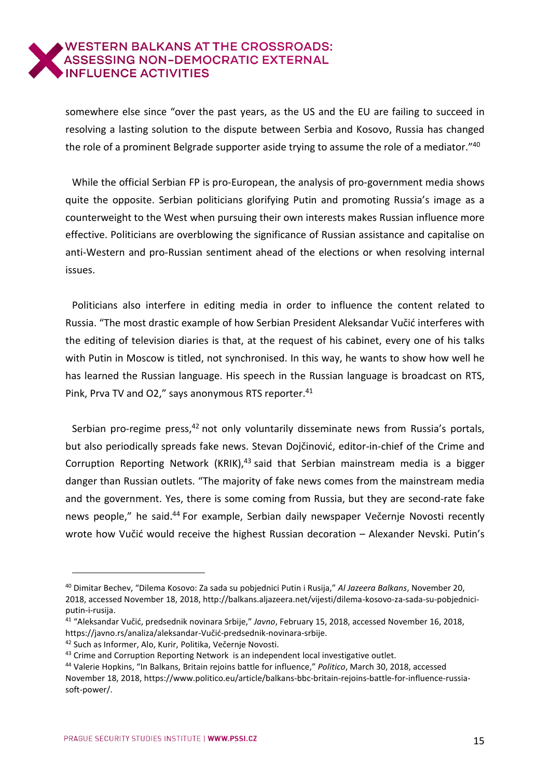somewhere else since "over the past years, as the US and the EU are failing to succeed in resolving a lasting solution to the dispute between Serbia and Kosovo, Russia has changed the role of a prominent Belgrade supporter aside trying to assume the role of a mediator." 40

While the official Serbian FP is pro-European, the analysis of pro-government media shows quite the opposite. Serbian politicians glorifying Putin and promoting Russia's image as a counterweight to the West when pursuing their own interests makes Russian influence more effective. Politicians are overblowing the significance of Russian assistance and capitalise on anti-Western and pro-Russian sentiment ahead of the elections or when resolving internal issues.

Politicians also interfere in editing media in order to influence the content related to Russia. "The most drastic example of how Serbian President Aleksandar Vučić interferes with the editing of television diaries is that, at the request of his cabinet, every one of his talks with Putin in Moscow is titled, not synchronised. In this way, he wants to show how well he has learned the Russian language. His speech in the Russian language is broadcast on RTS, Pink, Prva TV and O2," says anonymous RTS reporter.<sup>41</sup>

Serbian pro-regime press,<sup>42</sup> not only voluntarily disseminate news from Russia's portals, but also periodically spreads fake news. Stevan Dojčinović, editor-in-chief of the Crime and Corruption Reporting Network (KRIK),<sup>43</sup> said that Serbian mainstream media is a bigger danger than Russian outlets. "The majority of fake news comes from the mainstream media and the government. Yes, there is some coming from Russia, but they are second-rate fake news people," he said.<sup>44</sup> For example, Serbian daily newspaper Večernje Novosti recently wrote how Vučić would receive the highest Russian decoration – Alexander Nevski. Putin's

<sup>40</sup> Dimitar Bechev, "Dilema Kosovo: Za sada su pobjednici Putin i Rusija," *Al Jazeera Balkans*, November 20, 2018, accessed November 18, 2018, http://balkans.aljazeera.net/vijesti/dilema-kosovo-za-sada-su-pobjedniciputin-i-rusija.

<sup>41</sup> "Aleksandar Vučić, predsednik novinara Srbije," *Javno*, February 15, 2018, accessed November 16, 2018, https://javno.rs/analiza/aleksandar-Vučić-predsednik-novinara-srbije.

<sup>42</sup> Such as Informer, Alo, Kurir, Politika, Večernje Novosti.

 $43$  Crime and Corruption Reporting Network is an independent local investigative outlet.

<sup>44</sup> Valerie Hopkins, "In Balkans, Britain rejoins battle for influence," *Politico*, March 30, 2018, accessed November 18, 2018, https://www.politico.eu/article/balkans-bbc-britain-rejoins-battle-for-influence-russiasoft-power/.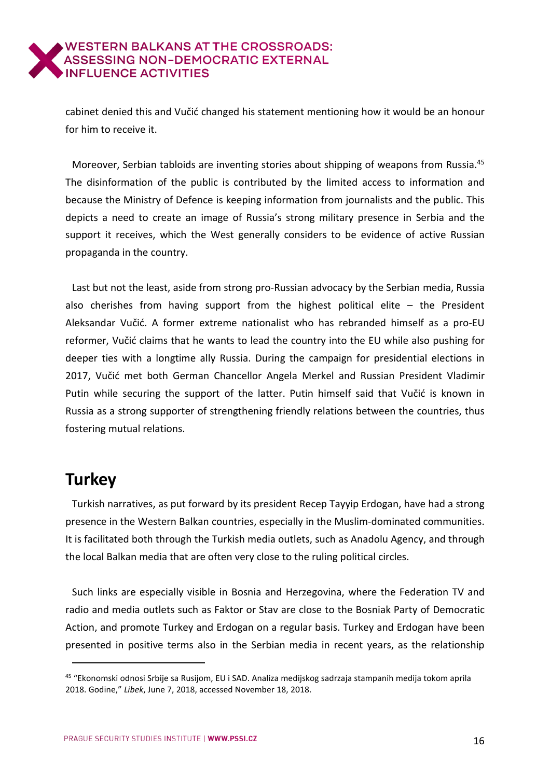cabinet denied this and Vučić changed his statement mentioning how it would be an honour for him to receive it.

Moreover, Serbian tabloids are inventing stories about shipping of weapons from Russia.<sup>45</sup> The disinformation of the public is contributed by the limited access to information and because the Ministry of Defence is keeping information from journalists and the public. This depicts a need to create an image of Russia's strong military presence in Serbia and the support it receives, which the West generally considers to be evidence of active Russian propaganda in the country.

Last but not the least, aside from strong pro-Russian advocacy by the Serbian media, Russia also cherishes from having support from the highest political elite – the President Aleksandar Vučić. A former extreme nationalist who has rebranded himself as a pro-EU reformer, Vučić claims that he wants to lead the country into the EU while also pushing for deeper ties with a longtime ally Russia. During the campaign for presidential elections in 2017, Vučić met both German Chancellor Angela Merkel and Russian President Vladimir Putin while securing the support of the latter. Putin himself said that Vučić is known in Russia as a strong supporter of strengthening friendly relations between the countries, thus fostering mutual relations.

## <span id="page-15-0"></span>**Turkey**

j

Turkish narratives, as put forward by its president Recep Tayyip Erdogan, have had a strong presence in the Western Balkan countries, especially in the Muslim-dominated communities. It is facilitated both through the Turkish media outlets, such as Anadolu Agency, and through the local Balkan media that are often very close to the ruling political circles.

Such links are especially visible in Bosnia and Herzegovina, where the Federation TV and radio and media outlets such as Faktor or Stav are close to the Bosniak Party of Democratic Action, and promote Turkey and Erdogan on a regular basis. Turkey and Erdogan have been presented in positive terms also in the Serbian media in recent years, as the relationship

<sup>45</sup> "Ekonomski odnosi Srbije sa Rusijom, EU i SAD. Analiza medijskog sadrzaja stampanih medija tokom aprila 2018. Godine," *Libek*, June 7, 2018, accessed November 18, 2018.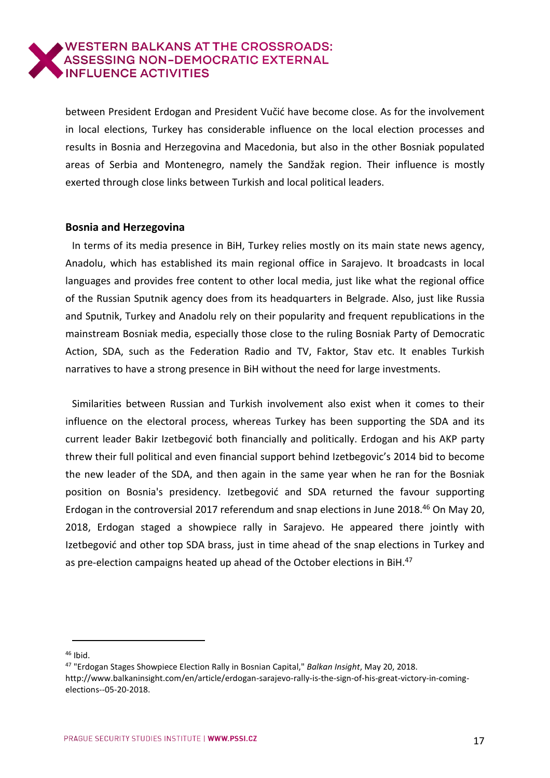between President Erdogan and President Vučić have become close. As for the involvement in local elections, Turkey has considerable influence on the local election processes and results in Bosnia and Herzegovina and Macedonia, but also in the other Bosniak populated areas of Serbia and Montenegro, namely the Sandžak region. Their influence is mostly exerted through close links between Turkish and local political leaders.

#### <span id="page-16-0"></span>**Bosnia and Herzegovina**

In terms of its media presence in BiH, Turkey relies mostly on its main state news agency, Anadolu, which has established its main regional office in Sarajevo. It broadcasts in local languages and provides free content to other local media, just like what the regional office of the Russian Sputnik agency does from its headquarters in Belgrade. Also, just like Russia and Sputnik, Turkey and Anadolu rely on their popularity and frequent republications in the mainstream Bosniak media, especially those close to the ruling Bosniak Party of Democratic Action, SDA, such as the Federation Radio and TV, Faktor, Stav etc. It enables Turkish narratives to have a strong presence in BiH without the need for large investments.

Similarities between Russian and Turkish involvement also exist when it comes to their influence on the electoral process, whereas Turkey has been supporting the SDA and its current leader Bakir Izetbegović both financially and politically. Erdogan and his AKP party threw their full political and even financial support behind Izetbegovic's 2014 bid to become the new leader of the SDA, and then again in the same year when he ran for the Bosniak position on Bosnia's presidency. Izetbegović and SDA returned the favour supporting Erdogan in the controversial 2017 referendum and snap elections in June 2018.<sup>46</sup> On May 20, 2018, Erdogan staged a showpiece rally in Sarajevo. He appeared there jointly with Izetbegović and other top SDA brass, just in time ahead of the snap elections in Turkey and as pre-election campaigns heated up ahead of the October elections in BiH.<sup>47</sup>

j <sup>46</sup> Ibid.

<sup>47</sup> "Erdogan Stages Showpiece Election Rally in Bosnian Capital," *Balkan Insight*, May 20, 2018. http://www.balkaninsight.com/en/article/erdogan-sarajevo-rally-is-the-sign-of-his-great-victory-in-comingelections--05-20-2018.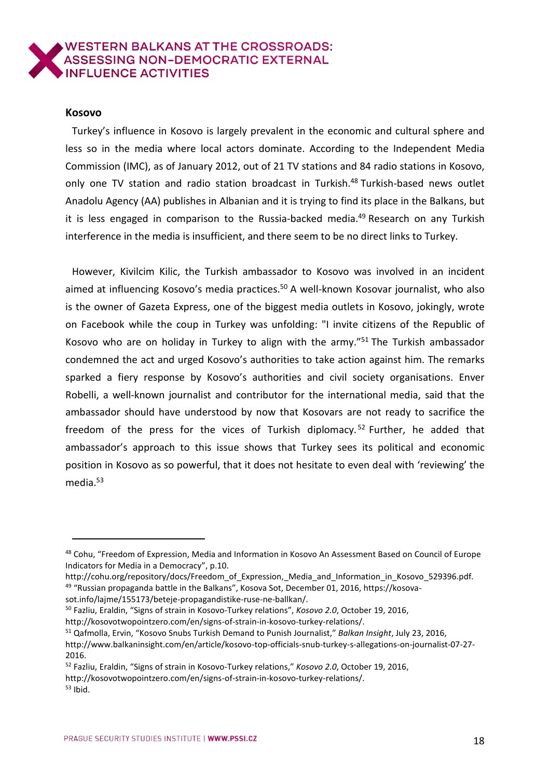#### <span id="page-17-0"></span>**Kosovo**

Turkey's influence in Kosovo is largely prevalent in the economic and cultural sphere and less so in the media where local actors dominate. According to the Independent Media Commission (IMC), as of January 2012, out of 21 TV stations and 84 radio stations in Kosovo, only one TV station and radio station broadcast in Turkish.<sup>48</sup> Turkish-based news outlet Anadolu Agency (AA) publishes in Albanian and it is trying to find its place in the Balkans, but it is less engaged in comparison to the Russia-backed media.<sup>49</sup> Research on any Turkish interference in the media is insufficient, and there seem to be no direct links to Turkey.

However, Kivilcim Kilic, the Turkish ambassador to Kosovo was involved in an incident aimed at influencing Kosovo's media practices.<sup>50</sup> A well-known Kosovar journalist, who also is the owner of Gazeta Express, one of the biggest media outlets in Kosovo, jokingly, wrote on Facebook while the coup in Turkey was unfolding: "I invite citizens of the Republic of Kosovo who are on holiday in Turkey to align with the army."<sup>51</sup> The Turkish ambassador condemned the act and urged Kosovo's authorities to take action against him. The remarks sparked a fiery response by Kosovo's authorities and civil society organisations. Enver Robelli, a well-known journalist and contributor for the international media, said that the ambassador should have understood by now that Kosovars are not ready to sacrifice the freedom of the press for the vices of Turkish diplomacy.<sup>52</sup> Further, he added that ambassador's approach to this issue shows that Turkey sees its political and economic position in Kosovo as so powerful, that it does not hesitate to even deal with 'reviewing' the media.<sup>53</sup>

sot.info/lajme/155173/beteje-propagandistike-ruse-ne-ballkan/.

http://kosovotwopointzero.com/en/signs-of-strain-in-kosovo-turkey-relations/.

http://kosovotwopointzero.com/en/signs-of-strain-in-kosovo-turkey-relations/.

<sup>&</sup>lt;sup>48</sup> Cohu, "Freedom of Expression, Media and Information in Kosovo An Assessment Based on Council of Europe Indicators for Media in a Democracy", p.10.

http://cohu.org/repository/docs/Freedom\_of\_Expression,\_Media\_and\_Information\_in\_Kosovo\_529396.pdf. <sup>49</sup> "Russian propaganda battle in the Balkans", Kosova Sot, December 01, 2016, https://kosova-

<sup>50</sup> Fazliu, Eraldin, "Signs of strain in Kosovo-Turkey relations", *Kosovo 2.0*, October 19, 2016,

<sup>51</sup> Qafmolla, Ervin, "Kosovo Snubs Turkish Demand to Punish Journalist," *Balkan Insight*, July 23, 2016, http://www.balkaninsight.com/en/article/kosovo-top-officials-snub-turkey-s-allegations-on-journalist-07-27- 2016.

<sup>52</sup> Fazliu, Eraldin, "Signs of strain in Kosovo-Turkey relations," *Kosovo 2.0*, October 19, 2016,

 $53$  Ibid.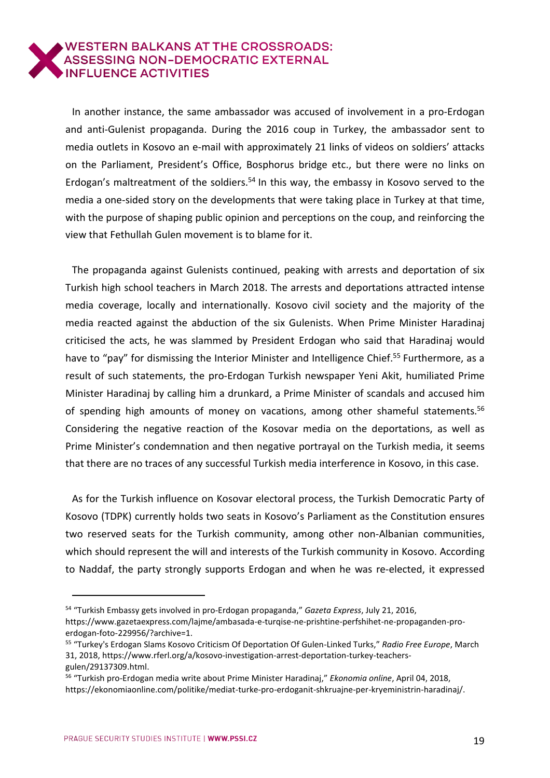In another instance, the same ambassador was accused of involvement in a pro-Erdogan and anti-Gulenist propaganda. During the 2016 coup in Turkey, the ambassador sent to media outlets in Kosovo an e-mail with approximately 21 links of videos on soldiers' attacks on the Parliament, President's Office, Bosphorus bridge etc., but there were no links on Erdogan's maltreatment of the soldiers.<sup>54</sup> In this way, the embassy in Kosovo served to the media a one-sided story on the developments that were taking place in Turkey at that time, with the purpose of shaping public opinion and perceptions on the coup, and reinforcing the view that Fethullah Gulen movement is to blame for it.

The propaganda against Gulenists continued, peaking with arrests and deportation of six Turkish high school teachers in March 2018. The arrests and deportations attracted intense media coverage, locally and internationally. Kosovo civil society and the majority of the media reacted against the abduction of the six Gulenists. When Prime Minister Haradinaj criticised the acts, he was slammed by President Erdogan who said that Haradinaj would have to "pay" for dismissing the Interior Minister and Intelligence Chief.<sup>55</sup> Furthermore, as a result of such statements, the pro-Erdogan Turkish newspaper Yeni Akit, humiliated Prime Minister Haradinaj by calling him a drunkard, a Prime Minister of scandals and accused him of spending high amounts of money on vacations, among other shameful statements.<sup>56</sup> Considering the negative reaction of the Kosovar media on the deportations, as well as Prime Minister's condemnation and then negative portrayal on the Turkish media, it seems that there are no traces of any successful Turkish media interference in Kosovo, in this case.

As for the Turkish influence on Kosovar electoral process, the Turkish Democratic Party of Kosovo (TDPK) currently holds two seats in Kosovo's Parliament as the Constitution ensures two reserved seats for the Turkish community, among other non-Albanian communities, which should represent the will and interests of the Turkish community in Kosovo. According to Naddaf, the party strongly supports Erdogan and when he was re-elected, it expressed

<sup>54</sup> "Turkish Embassy gets involved in pro-Erdogan propaganda," *Gazeta Express*, July 21, 2016, https://www.gazetaexpress.com/lajme/ambasada-e-turqise-ne-prishtine-perfshihet-ne-propaganden-proerdogan-foto-229956/?archive=1.

<sup>55</sup> "Turkey's Erdogan Slams Kosovo Criticism Of Deportation Of Gulen-Linked Turks," *Radio Free Europe*, March 31, 2018, https://www.rferl.org/a/kosovo-investigation-arrest-deportation-turkey-teachersgulen/29137309.html.

<sup>56</sup> "Turkish pro-Erdogan media write about Prime Minister Haradinaj," *Ekonomia online*, April 04, 2018, https://ekonomiaonline.com/politike/mediat-turke-pro-erdoganit-shkruajne-per-kryeministrin-haradinaj/.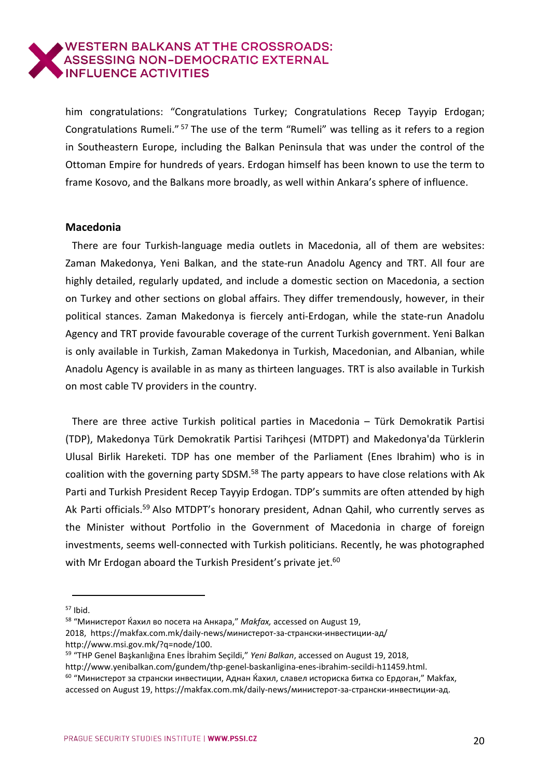him congratulations: "Congratulations Turkey; Congratulations Recep Tayyip Erdogan; Congratulations Rumeli." <sup>57</sup> The use of the term "Rumeli" was telling as it refers to a region in Southeastern Europe, including the Balkan Peninsula that was under the control of the Ottoman Empire for hundreds of years. Erdogan himself has been known to use the term to frame Kosovo, and the Balkans more broadly, as well within Ankara's sphere of influence.

#### <span id="page-19-0"></span>**Macedonia**

There are four Turkish-language media outlets in Macedonia, all of them are websites: Zaman Makedonya, Yeni Balkan, and the state-run Anadolu Agency and TRT. All four are highly detailed, regularly updated, and include a domestic section on Macedonia, a section on Turkey and other sections on global affairs. They differ tremendously, however, in their political stances. Zaman Makedonya is fiercely anti-Erdogan, while the state-run Anadolu Agency and TRT provide favourable coverage of the current Turkish government. Yeni Balkan is only available in Turkish, Zaman Makedonya in Turkish, Macedonian, and Albanian, while Anadolu Agency is available in as many as thirteen languages. TRT is also available in Turkish on most cable TV providers in the country.

There are three active Turkish political parties in Macedonia – Türk Demokratik Partisi (TDP), Makedonya Türk Demokratik Partisi Tarihçesi (MTDPT) and Makedonya'da Türklerin Ulusal Birlik Hareketi. TDP has one member of the Parliament (Enes Ibrahim) who is in coalition with the governing party SDSM.<sup>58</sup> The party appears to have close relations with Ak Parti and Turkish President Recep Tayyip Erdogan. TDP's summits are often attended by high Ak Parti officials.<sup>59</sup> Also MTDPT's honorary president, Adnan Qahil, who currently serves as the Minister without Portfolio in the Government of Macedonia in charge of foreign investments, seems well-connected with Turkish politicians. Recently, he was photographed with Mr Erdogan aboard the Turkish President's private jet.<sup>60</sup>

- 2018, https://makfax.com.mk/daily-news/министерот-за-странски-инвестиции-ад/ http://www.msi.gov.mk/?q=node/100.
- <sup>59</sup> "THP Genel Başkanlığına Enes İbrahim Seçildi," *Yeni Balkan*, accessed on August 19, 2018,

 $57$  Ibid.

<sup>58</sup> "Министерот Ќахил во посета на Анкара," *Makfax,* accessed on August 19,

http://www.yenibalkan.com/gundem/thp-genel-baskanligina-enes-ibrahim-secildi-h11459.html.

<sup>&</sup>lt;sup>60</sup> "Министерот за странски инвестиции, Аднан Ќахил, славел историска битка со Ердоган," Makfax, accessed on August 19, https://makfax.com.mk/daily-news/министерот-за-странски-инвестиции-ад.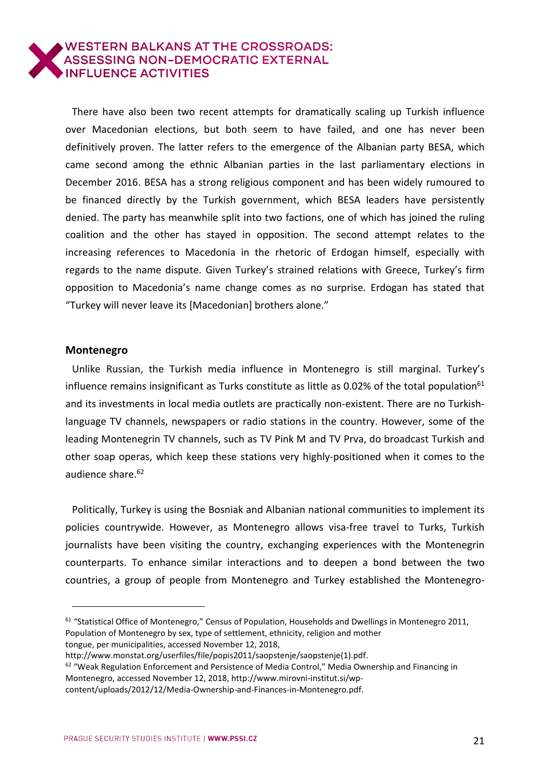There have also been two recent attempts for dramatically scaling up Turkish influence over Macedonian elections, but both seem to have failed, and one has never been definitively proven. The latter refers to the emergence of the Albanian party BESA, which came second among the ethnic Albanian parties in the last parliamentary elections in December 2016. BESA has a strong religious component and has been widely rumoured to be financed directly by the Turkish government, which BESA leaders have persistently denied. The party has meanwhile split into two factions, one of which has joined the ruling coalition and the other has stayed in opposition. The second attempt relates to the increasing references to Macedonia in the rhetoric of Erdogan himself, especially with regards to the name dispute. Given Turkey's strained relations with Greece, Turkey's firm opposition to Macedonia's name change comes as no surprise. Erdogan has stated that "Turkey will never leave its [Macedonian] brothers alone."

#### <span id="page-20-0"></span>**Montenegro**

 $\overline{a}$ 

Unlike Russian, the Turkish media influence in Montenegro is still marginal. Turkey's influence remains insignificant as Turks constitute as little as 0.02% of the total population<sup>61</sup> and its investments in local media outlets are practically non-existent. There are no Turkishlanguage TV channels, newspapers or radio stations in the country. However, some of the leading Montenegrin TV channels, such as TV Pink M and TV Prva, do broadcast Turkish and other soap operas, which keep these stations very highly-positioned when it comes to the audience share.<sup>62</sup>

Politically, Turkey is using the Bosniak and Albanian national communities to implement its policies countrywide. However, as Montenegro allows visa-free travel to Turks, Turkish journalists have been visiting the country, exchanging experiences with the Montenegrin counterparts. To enhance similar interactions and to deepen a bond between the two countries, a group of people from Montenegro and Turkey established the Montenegro-

tongue, per municipalities, accessed November 12, 2018,

 $61$  "Statistical Office of Montenegro," Census of Population, Households and Dwellings in Montenegro 2011, Population of Montenegro by sex, type of settlement, ethnicity, religion and mother

http://www.monstat.org/userfiles/file/popis2011/saopstenje/saopstenje(1).pdf.

 $62$  "Weak Regulation Enforcement and Persistence of Media Control," Media Ownership and Financing in Montenegro, accessed November 12, 2018, [http://www.mirovni-institut.si/wp-](http://www.mirovni-institut.si/wp-content/uploads/2012/12/Media-Ownership-and-Finances-in-Montenegro.pdf)

[content/uploads/2012/12/Media-Ownership-and-Finances-in-Montenegro.pdf.](http://www.mirovni-institut.si/wp-content/uploads/2012/12/Media-Ownership-and-Finances-in-Montenegro.pdf)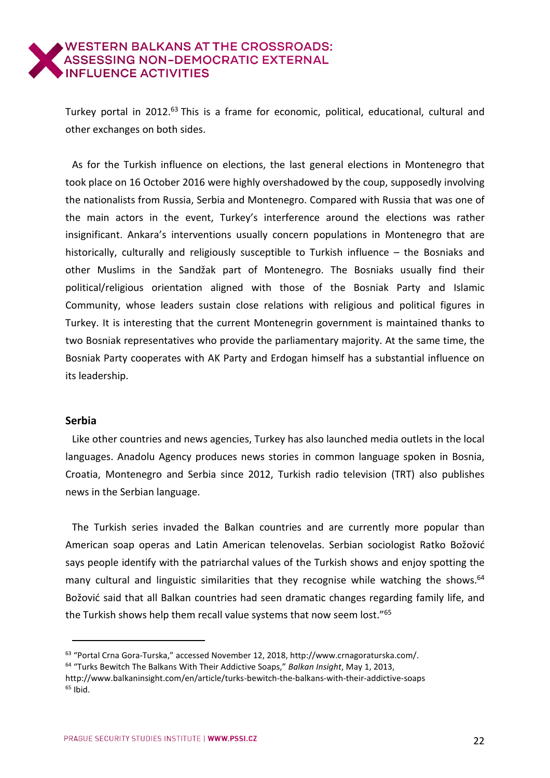Turkey portal in 2012.<sup>63</sup> This is a frame for economic, political, educational, cultural and other exchanges on both sides.

As for the Turkish influence on elections, the last general elections in Montenegro that took place on 16 October 2016 were highly overshadowed by the coup, supposedly involving the nationalists from Russia, Serbia and Montenegro. Compared with Russia that was one of the main actors in the event, Turkey's interference around the elections was rather insignificant. Ankara's interventions usually concern populations in Montenegro that are historically, culturally and religiously susceptible to Turkish influence – the Bosniaks and other Muslims in the Sandžak part of Montenegro. The Bosniaks usually find their political/religious orientation aligned with those of the Bosniak Party and Islamic Community, whose leaders sustain close relations with religious and political figures in Turkey. It is interesting that the current Montenegrin government is maintained thanks to two Bosniak representatives who provide the parliamentary majority. At the same time, the Bosniak Party cooperates with AK Party and Erdogan himself has a substantial influence on its leadership.

#### <span id="page-21-0"></span>**Serbia**

j

Like other countries and news agencies, Turkey has also launched media outlets in the local languages. Anadolu Agency produces news stories in common language spoken in Bosnia, Croatia, Montenegro and Serbia since 2012, Turkish radio television (TRT) also publishes news in the Serbian language.

The Turkish series invaded the Balkan countries and are currently more popular than American soap operas and Latin American telenovelas. Serbian sociologist Ratko Božović says people identify with the patriarchal values of the Turkish shows and enjoy spotting the many cultural and linguistic similarities that they recognise while watching the shows.<sup>64</sup> Božović said that all Balkan countries had seen dramatic changes regarding family life, and the Turkish shows help them recall value systems that now seem lost."<sup>65</sup>

<sup>63</sup> "Portal Crna Gora-Turska," accessed November 12, 2018, [http://www.crnagoraturska.com/.](http://www.crnagoraturska.com/) <sup>64</sup> "Turks Bewitch The Balkans With Their Addictive Soaps," *Balkan Insight*, May 1, 2013,

http://www.balkaninsight.com/en/article/turks-bewitch-the-balkans-with-their-addictive-soaps  $65$  Ibid.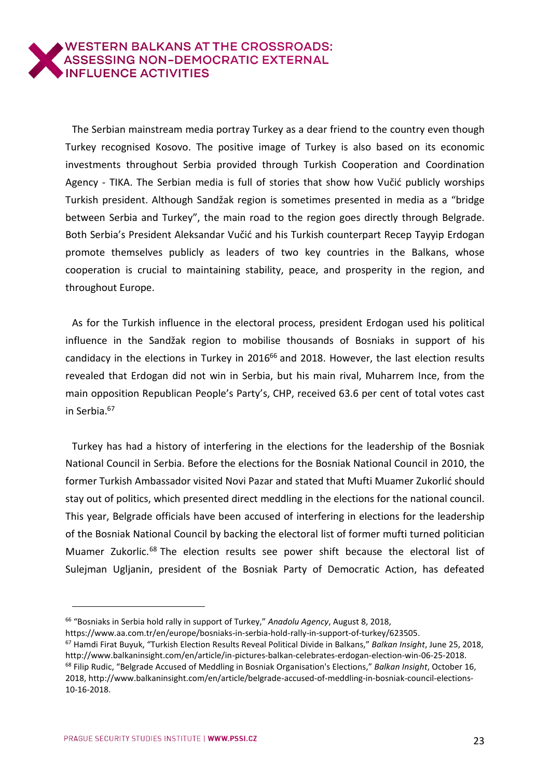The Serbian mainstream media portray Turkey as a dear friend to the country even though Turkey recognised Kosovo. The positive image of Turkey is also based on its economic investments throughout Serbia provided through Turkish Cooperation and Coordination Agency - TIKA. The Serbian media is full of stories that show how Vučić publicly worships Turkish president. Although Sandžak region is sometimes presented in media as a "bridge between Serbia and Turkey", the main road to the region goes directly through Belgrade. Both Serbia's President Aleksandar Vučić and his Turkish counterpart Recep Tayyip Erdogan promote themselves publicly as leaders of two key countries in the Balkans, whose cooperation is crucial to maintaining stability, peace, and prosperity in the region, and throughout Europe.

As for the Turkish influence in the electoral process, president Erdogan used his political influence in the Sandžak region to mobilise thousands of Bosniaks in support of his candidacy in the elections in Turkey in 2016<sup>66</sup> and 2018. However, the last election results revealed that Erdogan did not win in Serbia, but his main rival, Muharrem Ince, from the main opposition Republican People's Party's, CHP, received 63.6 per cent of total votes cast in Serbia.<sup>67</sup>

Turkey has had a history of interfering in the elections for the leadership of the Bosniak National Council in Serbia. Before the elections for the Bosniak National Council in 2010, the former Turkish Ambassador visited Novi Pazar and stated that Mufti Muamer Zukorlić should stay out of politics, which presented direct meddling in the elections for the national council. This year, Belgrade officials have been accused of interfering in elections for the leadership of the Bosniak National Council by backing the electoral list of former mufti turned politician Muamer Zukorlic.<sup>68</sup> The election results see power shift because the electoral list of Sulejman Ugljanin, president of the Bosniak Party of Democratic Action, has defeated

 $\overline{a}$ 

<sup>66</sup> "Bosniaks in Serbia hold rally in support of Turkey," *Anadolu Agency*, August 8, 2018,

https://www.aa.com.tr/en/europe/bosniaks-in-serbia-hold-rally-in-support-of-turkey/623505.

<sup>67</sup> Hamdi Firat Buyuk, "Turkish Election Results Reveal Political Divide in Balkans," *Balkan Insight*, June 25, 2018, http://www.balkaninsight.com/en/article/in-pictures-balkan-celebrates-erdogan-election-win-06-25-2018. <sup>68</sup> Filip Rudic, "Belgrade Accused of Meddling in Bosniak Organisation's Elections," *Balkan Insight*, October 16, 2018, http://www.balkaninsight.com/en/article/belgrade-accused-of-meddling-in-bosniak-council-elections-10-16-2018.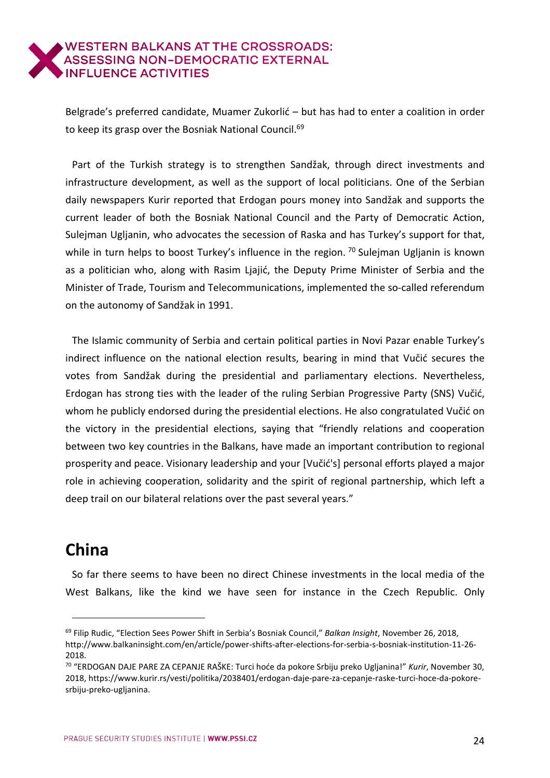Belgrade's preferred candidate, Muamer Zukorlić – but has had to enter a coalition in order to keep its grasp over the Bosniak National Council.<sup>69</sup>

Part of the Turkish strategy is to strengthen Sandžak, through direct investments and infrastructure development, as well as the support of local politicians. One of the Serbian daily newspapers Kurir reported that Erdogan pours money into Sandžak and supports the current leader of both the Bosniak National Council and the Party of Democratic Action, Sulejman Ugljanin, who advocates the secession of Raska and has Turkey's support for that, while in turn helps to boost Turkey's influence in the region. <sup>70</sup> Sulejman Ugljanin is known as a politician who, along with Rasim Ljajić, the Deputy Prime Minister of Serbia and the Minister of Trade, Tourism and Telecommunications, implemented the so-called referendum on the autonomy of Sandžak in 1991.

The Islamic community of Serbia and certain political parties in Novi Pazar enable Turkey's indirect influence on the national election results, bearing in mind that Vučić secures the votes from Sandžak during the presidential and parliamentary elections. Nevertheless, Erdogan has strong ties with the leader of the ruling Serbian Progressive Party (SNS) Vučić, whom he publicly endorsed during the presidential elections. He also congratulated Vučić on the victory in the presidential elections, saying that "friendly relations and cooperation between two key countries in the Balkans, have made an important contribution to regional prosperity and peace. Visionary leadership and your [Vučić's] personal efforts played a major role in achieving cooperation, solidarity and the spirit of regional partnership, which left a deep trail on our bilateral relations over the past several years."

# <span id="page-23-0"></span>**China**

j

So far there seems to have been no direct Chinese investments in the local media of the West Balkans, like the kind we have seen for instance in the Czech Republic. Only

<sup>69</sup> Filip Rudic, "Election Sees Power Shift in Serbia's Bosniak Council," *Balkan Insight*, November 26, 2018, http://www.balkaninsight.com/en/article/power-shifts-after-elections-for-serbia-s-bosniak-institution-11-26- 2018.

<sup>70</sup> "ERDOGAN DAJE PARE ZA CEPANJE RAŠKE: Turci hoće da pokore Srbiju preko Ugljanina!" *Kurir*, November 30, 2018, https://www.kurir.rs/vesti/politika/2038401/erdogan-daje-pare-za-cepanje-raske-turci-hoce-da-pokoresrbiju-preko-ugljanina.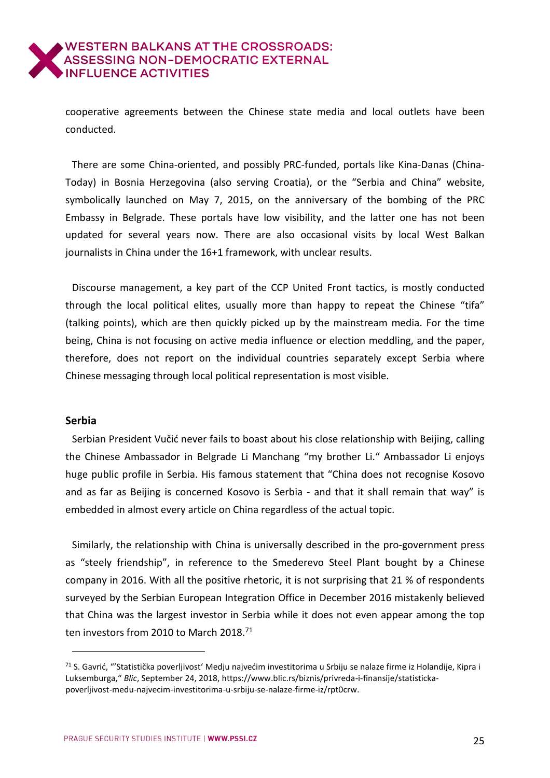cooperative agreements between the Chinese state media and local outlets have been conducted.

There are some China-oriented, and possibly PRC-funded, portals like Kina-Danas (China-Today) in Bosnia Herzegovina (also serving Croatia), or the "Serbia and China" website, symbolically launched on May 7, 2015, on the anniversary of the bombing of the PRC Embassy in Belgrade. These portals have low visibility, and the latter one has not been updated for several years now. There are also occasional visits by local West Balkan journalists in China under the 16+1 framework, with unclear results.

Discourse management, a key part of the CCP United Front tactics, is mostly conducted through the local political elites, usually more than happy to repeat the Chinese "tifa" (talking points), which are then quickly picked up by the mainstream media. For the time being, China is not focusing on active media influence or election meddling, and the paper, therefore, does not report on the individual countries separately except Serbia where Chinese messaging through local political representation is most visible.

### <span id="page-24-0"></span>**Serbia**

 $\overline{a}$ 

Serbian President Vučić never fails to boast about his close relationship with Beijing, calling the Chinese Ambassador in Belgrade Li Manchang "my brother Li." Ambassador Li enjoys huge public profile in Serbia. His famous statement that "China does not recognise Kosovo and as far as Beijing is concerned Kosovo is Serbia - and that it shall remain that way" is embedded in almost every article on China regardless of the actual topic.

Similarly, the relationship with China is universally described in the pro-government press as "steely friendship", in reference to the Smederevo Steel Plant bought by a Chinese company in 2016. With all the positive rhetoric, it is not surprising that 21 % of respondents surveyed by the Serbian European Integration Office in December 2016 mistakenly believed that China was the largest investor in Serbia while it does not even appear among the top ten investors from 2010 to March 2018.<sup>71</sup>

<sup>71</sup> S. Gavrić, "'Statistička poverljivost' Medju najvećim investitorima u Srbiju se nalaze firme iz Holandije, Kipra i Luksemburga," *Blic*, September 24, 2018, https://www.blic.rs/biznis/privreda-i-finansije/statistickapoverljivost-medu-najvecim-investitorima-u-srbiju-se-nalaze-firme-iz/rpt0crw.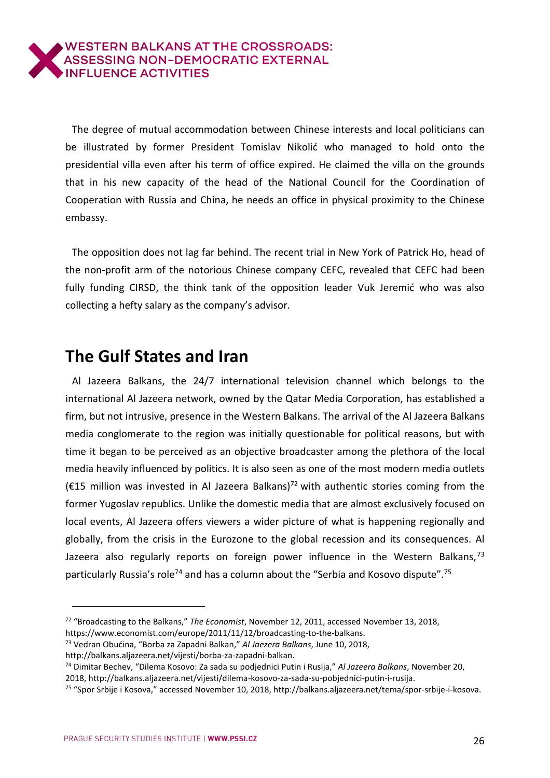The degree of mutual accommodation between Chinese interests and local politicians can be illustrated by former President Tomislav Nikolić who managed to hold onto the presidential villa even after his term of office expired. He claimed the villa on the grounds that in his new capacity of the head of the National Council for the Coordination of Cooperation with Russia and China, he needs an office in physical proximity to the Chinese embassy.

The opposition does not lag far behind. The recent trial in New York of Patrick Ho, head of the non-profit arm of the notorious Chinese company CEFC, revealed that CEFC had been fully funding CIRSD, the think tank of the opposition leader Vuk Jeremić who was also collecting a hefty salary as the company's advisor.

## <span id="page-25-0"></span>**The Gulf States and Iran**

Al Jazeera Balkans, the 24/7 international television channel which belongs to the international Al Jazeera network, owned by the Qatar Media Corporation, has established a firm, but not intrusive, presence in the Western Balkans. The arrival of the Al Jazeera Balkans media conglomerate to the region was initially questionable for political reasons, but with time it began to be perceived as an objective broadcaster among the plethora of the local media heavily influenced by politics. It is also seen as one of the most modern media outlets (€15 million was invested in Al Jazeera Balkans)<sup>72</sup> with authentic stories coming from the former Yugoslav republics. Unlike the domestic media that are almost exclusively focused on local events, Al Jazeera offers viewers a wider picture of what is happening regionally and globally, from the crisis in the Eurozone to the global recession and its consequences. Al Jazeera also regularly reports on foreign power influence in the Western Balkans,  $73$ particularly Russia's role<sup>74</sup> and has a column about the "Serbia and Kosovo dispute".<sup>75</sup>

 $\overline{a}$ 

<sup>72</sup> "Broadcasting to the Balkans," *The Economist*, November 12, 2011, accessed November 13, 2018, [https://www.economist.com/europe/2011/11/12/broadcasting-to-the-balkans.](https://www.economist.com/europe/2011/11/12/broadcasting-to-the-balkans)

<sup>73</sup> Vedran Obućina, "Borba za Zapadni Balkan," *Al Jaezera Balkans*, June 10, 2018,

http://balkans.aljazeera.net/vijesti/borba-za-zapadni-balkan.

<sup>74</sup> Dimitar Bechev, "Dilema Kosovo: Za sada su podjednici Putin i Rusija," *Al Jazeera Balkans*, November 20,

<sup>2018,</sup> http://balkans.aljazeera.net/vijesti/dilema-kosovo-za-sada-su-pobjednici-putin-i-rusija.

<sup>75</sup> "Spor Srbije i Kosova," accessed November 10, 2018, http://balkans.aljazeera.net/tema/spor-srbije-i-kosova.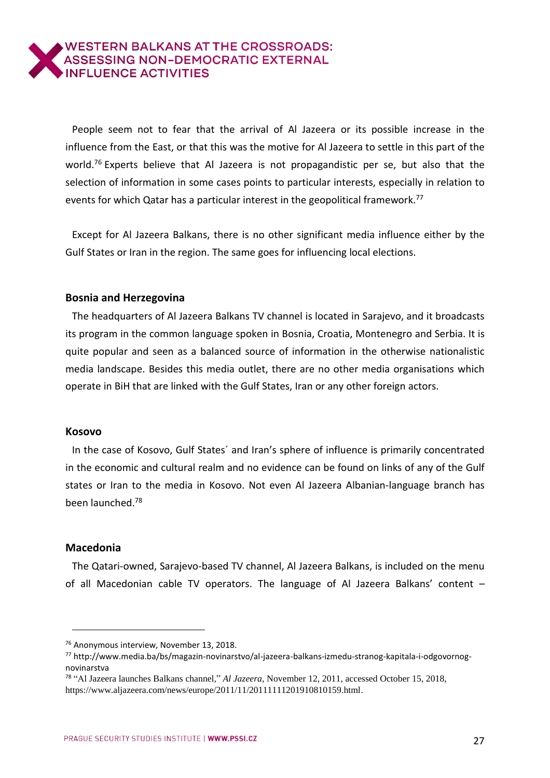People seem not to fear that the arrival of Al Jazeera or its possible increase in the influence from the East, or that this was the motive for Al Jazeera to settle in this part of the world.<sup>76</sup> Experts believe that Al Jazeera is not propagandistic per se, but also that the selection of information in some cases points to particular interests, especially in relation to events for which Qatar has a particular interest in the geopolitical framework.<sup>77</sup>

Except for Al Jazeera Balkans, there is no other significant media influence either by the Gulf States or Iran in the region. The same goes for influencing local elections.

### <span id="page-26-0"></span>**Bosnia and Herzegovina**

The headquarters of Al Jazeera Balkans TV channel is located in Sarajevo, and it broadcasts its program in the common language spoken in Bosnia, Croatia, Montenegro and Serbia. It is quite popular and seen as a balanced source of information in the otherwise nationalistic media landscape. Besides this media outlet, there are no other media organisations which operate in BiH that are linked with the Gulf States, Iran or any other foreign actors.

### <span id="page-26-1"></span>**Kosovo**

In the case of Kosovo, Gulf States´ and Iran's sphere of influence is primarily concentrated in the economic and cultural realm and no evidence can be found on links of any of the Gulf states or Iran to the media in Kosovo. Not even Al Jazeera Albanian-language branch has been launched.<sup>78</sup>

### <span id="page-26-2"></span>**Macedonia**

 $\overline{a}$ 

The Qatari-owned, Sarajevo-based TV channel, Al Jazeera Balkans, is included on the menu of all Macedonian cable TV operators. The language of Al Jazeera Balkans' content –

<sup>76</sup> Anonymous interview, November 13, 2018.

<sup>77</sup> http://www.media.ba/bs/magazin-novinarstvo/al-jazeera-balkans-izmedu-stranog-kapitala-i-odgovornognovinarstva

<sup>78</sup> "Al Jazeera launches Balkans channel," *Al Jazeera*, November 12, 2011, accessed October 15, 2018, https://www.aljazeera.com/news/europe/2011/11/20111111201910810159.html.